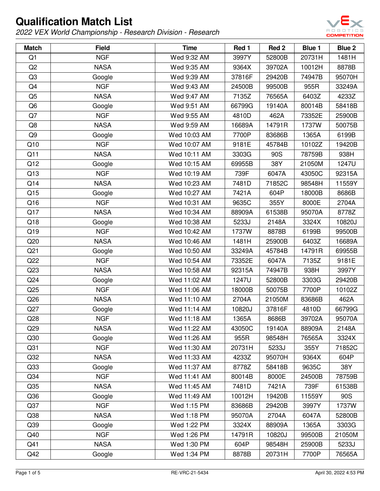

| <b>Match</b>    | <b>Field</b> | <b>Time</b>  | Red 1  | Red 2  | Blue 1 | <b>Blue 2</b> |
|-----------------|--------------|--------------|--------|--------|--------|---------------|
| Q1              | <b>NGF</b>   | Wed 9:32 AM  | 3997Y  | 52800B | 20731H | 1481H         |
| Q2              | <b>NASA</b>  | Wed 9:35 AM  | 9364X  | 39702A | 10012H | 8878B         |
| Q <sub>3</sub>  | Google       | Wed 9:39 AM  | 37816F | 29420B | 74947B | 95070H        |
| Q4              | <b>NGF</b>   | Wed 9:43 AM  | 24500B | 99500B | 955R   | 33249A        |
| Q <sub>5</sub>  | <b>NASA</b>  | Wed 9:47 AM  | 7135Z  | 76565A | 6403Z  | 4233Z         |
| Q <sub>6</sub>  | Google       | Wed 9:51 AM  | 66799G | 19140A | 80014B | 58418B        |
| Q7              | <b>NGF</b>   | Wed 9:55 AM  | 4810D  | 462A   | 73352E | 25900B        |
| Q8              | <b>NASA</b>  | Wed 9:59 AM  | 16689A | 14791R | 1737W  | 50075B        |
| Q <sub>9</sub>  | Google       | Wed 10:03 AM | 7700P  | 83686B | 1365A  | 6199B         |
| Q10             | <b>NGF</b>   | Wed 10:07 AM | 9181E  | 45784B | 10102Z | 19420B        |
| Q11             | <b>NASA</b>  | Wed 10:11 AM | 3303G  | 90S    | 78759B | 938H          |
| Q12             | Google       | Wed 10:15 AM | 69955B | 38Y    | 21050M | 1247U         |
| Q13             | <b>NGF</b>   | Wed 10:19 AM | 739F   | 6047A  | 43050C | 92315A        |
| Q14             | <b>NASA</b>  | Wed 10:23 AM | 7481D  | 71852C | 98548H | 11559Y        |
| Q15             | Google       | Wed 10:27 AM | 7421A  | 604P   | 18000B | 8686B         |
| Q16             | <b>NGF</b>   | Wed 10:31 AM | 9635C  | 355Y   | 8000E  | 2704A         |
| Q17             | <b>NASA</b>  | Wed 10:34 AM | 88909A | 61538B | 95070A | 8778Z         |
| Q18             | Google       | Wed 10:38 AM | 5233J  | 2148A  | 3324X  | 10820J        |
| Q19             | <b>NGF</b>   | Wed 10:42 AM | 1737W  | 8878B  | 6199B  | 99500B        |
| Q20             | <b>NASA</b>  | Wed 10:46 AM | 1481H  | 25900B | 6403Z  | 16689A        |
| Q <sub>21</sub> | Google       | Wed 10:50 AM | 33249A | 45784B | 14791R | 69955B        |
| Q22             | <b>NGF</b>   | Wed 10:54 AM | 73352E | 6047A  | 7135Z  | 9181E         |
| Q23             | <b>NASA</b>  | Wed 10:58 AM | 92315A | 74947B | 938H   | 3997Y         |
| Q24             | Google       | Wed 11:02 AM | 1247U  | 52800B | 3303G  | 29420B        |
| Q25             | <b>NGF</b>   | Wed 11:06 AM | 18000B | 50075B | 7700P  | 10102Z        |
| Q26             | <b>NASA</b>  | Wed 11:10 AM | 2704A  | 21050M | 83686B | 462A          |
| Q27             | Google       | Wed 11:14 AM | 10820J | 37816F | 4810D  | 66799G        |
| Q28             | <b>NGF</b>   | Wed 11:18 AM | 1365A  | 8686B  | 39702A | 95070A        |
| Q <sub>29</sub> | <b>NASA</b>  | Wed 11:22 AM | 43050C | 19140A | 88909A | 2148A         |
| Q30             | Google       | Wed 11:26 AM | 955R   | 98548H | 76565A | 3324X         |
| Q <sub>31</sub> | <b>NGF</b>   | Wed 11:30 AM | 20731H | 5233J  | 355Y   | 71852C        |
| Q <sub>32</sub> | <b>NASA</b>  | Wed 11:33 AM | 4233Z  | 95070H | 9364X  | 604P          |
| Q33             | Google       | Wed 11:37 AM | 8778Z  | 58418B | 9635C  | 38Y           |
| Q34             | <b>NGF</b>   | Wed 11:41 AM | 80014B | 8000E  | 24500B | 78759B        |
| Q35             | <b>NASA</b>  | Wed 11:45 AM | 7481D  | 7421A  | 739F   | 61538B        |
| Q36             | Google       | Wed 11:49 AM | 10012H | 19420B | 11559Y | 90S           |
| Q37             | <b>NGF</b>   | Wed 1:15 PM  | 83686B | 29420B | 3997Y  | 1737W         |
| Q38             | <b>NASA</b>  | Wed 1:18 PM  | 95070A | 2704A  | 6047A  | 52800B        |
| Q39             | Google       | Wed 1:22 PM  | 3324X  | 88909A | 1365A  | 3303G         |
| Q40             | <b>NGF</b>   | Wed 1:26 PM  | 14791R | 10820J | 99500B | 21050M        |
| Q41             | <b>NASA</b>  | Wed 1:30 PM  | 604P   | 98548H | 25900B | 5233J         |
| Q42             | Google       | Wed 1:34 PM  | 8878B  | 20731H | 7700P  | 76565A        |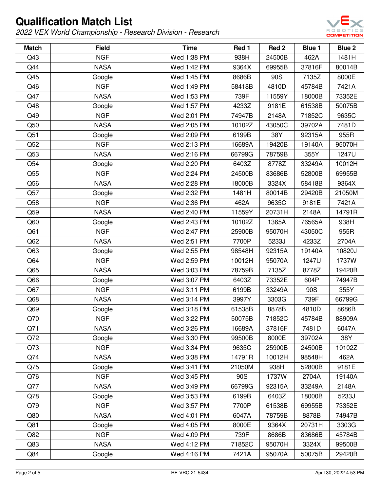

| <b>Match</b> | <b>Field</b> | <b>Time</b> | Red 1  | Red 2  | <b>Blue 1</b> | <b>Blue 2</b> |
|--------------|--------------|-------------|--------|--------|---------------|---------------|
| Q43          | <b>NGF</b>   | Wed 1:38 PM | 938H   | 24500B | 462A          | 1481H         |
| Q44          | <b>NASA</b>  | Wed 1:42 PM | 9364X  | 69955B | 37816F        | 80014B        |
| Q45          | Google       | Wed 1:45 PM | 8686B  | 90S    | 7135Z         | 8000E         |
| Q46          | <b>NGF</b>   | Wed 1:49 PM | 58418B | 4810D  | 45784B        | 7421A         |
| Q47          | <b>NASA</b>  | Wed 1:53 PM | 739F   | 11559Y | 18000B        | 73352E        |
| Q48          | Google       | Wed 1:57 PM | 4233Z  | 9181E  | 61538B        | 50075B        |
| Q49          | <b>NGF</b>   | Wed 2:01 PM | 74947B | 2148A  | 71852C        | 9635C         |
| Q50          | <b>NASA</b>  | Wed 2:05 PM | 10102Z | 43050C | 39702A        | 7481D         |
| Q51          | Google       | Wed 2:09 PM | 6199B  | 38Y    | 92315A        | 955R          |
| Q52          | <b>NGF</b>   | Wed 2:13 PM | 16689A | 19420B | 19140A        | 95070H        |
| Q53          | <b>NASA</b>  | Wed 2:16 PM | 66799G | 78759B | 355Y          | 1247U         |
| Q54          | Google       | Wed 2:20 PM | 6403Z  | 8778Z  | 33249A        | 10012H        |
| Q55          | <b>NGF</b>   | Wed 2:24 PM | 24500B | 83686B | 52800B        | 69955B        |
| Q56          | <b>NASA</b>  | Wed 2:28 PM | 18000B | 3324X  | 58418B        | 9364X         |
| Q57          | Google       | Wed 2:32 PM | 1481H  | 80014B | 29420B        | 21050M        |
| Q58          | <b>NGF</b>   | Wed 2:36 PM | 462A   | 9635C  | 9181E         | 7421A         |
| Q59          | <b>NASA</b>  | Wed 2:40 PM | 11559Y | 20731H | 2148A         | 14791R        |
| Q60          | Google       | Wed 2:43 PM | 10102Z | 1365A  | 76565A        | 938H          |
| Q61          | <b>NGF</b>   | Wed 2:47 PM | 25900B | 95070H | 43050C        | 955R          |
| Q62          | <b>NASA</b>  | Wed 2:51 PM | 7700P  | 5233J  | 4233Z         | 2704A         |
| Q63          | Google       | Wed 2:55 PM | 98548H | 92315A | 19140A        | 10820J        |
| Q64          | <b>NGF</b>   | Wed 2:59 PM | 10012H | 95070A | 1247U         | 1737W         |
| Q65          | <b>NASA</b>  | Wed 3:03 PM | 78759B | 7135Z  | 8778Z         | 19420B        |
| Q66          | Google       | Wed 3:07 PM | 6403Z  | 73352E | 604P          | 74947B        |
| Q67          | <b>NGF</b>   | Wed 3:11 PM | 6199B  | 33249A | 90S           | 355Y          |
| Q68          | <b>NASA</b>  | Wed 3:14 PM | 3997Y  | 3303G  | 739F          | 66799G        |
| Q69          | Google       | Wed 3:18 PM | 61538B | 8878B  | 4810D         | 8686B         |
| Q70          | <b>NGF</b>   | Wed 3:22 PM | 50075B | 71852C | 45784B        | 88909A        |
| Q71          | <b>NASA</b>  | Wed 3:26 PM | 16689A | 37816F | 7481D         | 6047A         |
| Q72          | Google       | Wed 3:30 PM | 99500B | 8000E  | 39702A        | 38Y           |
| Q73          | <b>NGF</b>   | Wed 3:34 PM | 9635C  | 25900B | 24500B        | 10102Z        |
| Q74          | <b>NASA</b>  | Wed 3:38 PM | 14791R | 10012H | 98548H        | 462A          |
| Q75          | Google       | Wed 3:41 PM | 21050M | 938H   | 52800B        | 9181E         |
| Q76          | <b>NGF</b>   | Wed 3:45 PM | 90S    | 1737W  | 2704A         | 19140A        |
| Q77          | <b>NASA</b>  | Wed 3:49 PM | 66799G | 92315A | 33249A        | 2148A         |
| Q78          | Google       | Wed 3:53 PM | 6199B  | 6403Z  | 18000B        | 5233J         |
| Q79          | <b>NGF</b>   | Wed 3:57 PM | 7700P  | 61538B | 69955B        | 73352E        |
| Q80          | <b>NASA</b>  | Wed 4:01 PM | 6047A  | 78759B | 8878B         | 74947B        |
| Q81          | Google       | Wed 4:05 PM | 8000E  | 9364X  | 20731H        | 3303G         |
| Q82          | <b>NGF</b>   | Wed 4:09 PM | 739F   | 8686B  | 83686B        | 45784B        |
| Q83          | <b>NASA</b>  | Wed 4:12 PM | 71852C | 95070H | 3324X         | 99500B        |
| Q84          | Google       | Wed 4:16 PM | 7421A  | 95070A | 50075B        | 29420B        |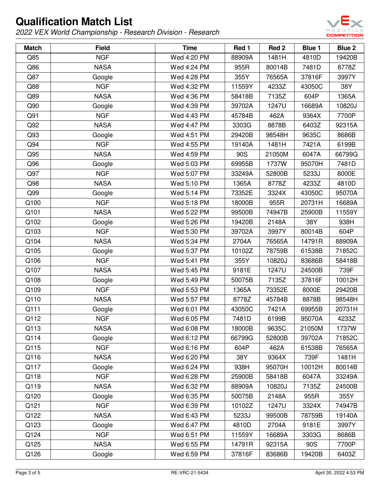

| <b>Match</b> | <b>Field</b> | <b>Time</b> | Red 1  | Red <sub>2</sub> | <b>Blue 1</b> | Blue 2 |
|--------------|--------------|-------------|--------|------------------|---------------|--------|
| Q85          | <b>NGF</b>   | Wed 4:20 PM | 88909A | 1481H            | 4810D         | 19420B |
| Q86          | <b>NASA</b>  | Wed 4:24 PM | 955R   | 80014B           | 7481D         | 8778Z  |
| Q87          | Google       | Wed 4:28 PM | 355Y   | 76565A           | 37816F        | 3997Y  |
| Q88          | <b>NGF</b>   | Wed 4:32 PM | 11559Y | 4233Z            | 43050C        | 38Y    |
| Q89          | <b>NASA</b>  | Wed 4:36 PM | 58418B | 7135Z            | 604P          | 1365A  |
| Q90          | Google       | Wed 4:39 PM | 39702A | 1247U            | 16689A        | 10820J |
| Q91          | <b>NGF</b>   | Wed 4:43 PM | 45784B | 462A             | 9364X         | 7700P  |
| Q92          | <b>NASA</b>  | Wed 4:47 PM | 3303G  | 8878B            | 6403Z         | 92315A |
| Q93          | Google       | Wed 4:51 PM | 29420B | 98548H           | 9635C         | 8686B  |
| Q94          | <b>NGF</b>   | Wed 4:55 PM | 19140A | 1481H            | 7421A         | 6199B  |
| Q95          | <b>NASA</b>  | Wed 4:59 PM | 90S    | 21050M           | 6047A         | 66799G |
| Q96          | Google       | Wed 5:03 PM | 69955B | 1737W            | 95070H        | 7481D  |
| Q97          | <b>NGF</b>   | Wed 5:07 PM | 33249A | 52800B           | 5233J         | 8000E  |
| Q98          | <b>NASA</b>  | Wed 5:10 PM | 1365A  | 8778Z            | 4233Z         | 4810D  |
| Q99          | Google       | Wed 5:14 PM | 73352E | 3324X            | 43050C        | 95070A |
| Q100         | <b>NGF</b>   | Wed 5:18 PM | 18000B | 955R             | 20731H        | 16689A |
| Q101         | <b>NASA</b>  | Wed 5:22 PM | 99500B | 74947B           | 25900B        | 11559Y |
| Q102         | Google       | Wed 5:26 PM | 19420B | 2148A            | 38Y           | 938H   |
| Q103         | <b>NGF</b>   | Wed 5:30 PM | 39702A | 3997Y            | 80014B        | 604P   |
| Q104         | <b>NASA</b>  | Wed 5:34 PM | 2704A  | 76565A           | 14791R        | 88909A |
| Q105         | Google       | Wed 5:37 PM | 10102Z | 78759B           | 61538B        | 71852C |
| Q106         | <b>NGF</b>   | Wed 5:41 PM | 355Y   | 10820J           | 83686B        | 58418B |
| Q107         | <b>NASA</b>  | Wed 5:45 PM | 9181E  | 1247U            | 24500B        | 739F   |
| Q108         | Google       | Wed 5:49 PM | 50075B | 7135Z            | 37816F        | 10012H |
| Q109         | <b>NGF</b>   | Wed 5:53 PM | 1365A  | 73352E           | 8000E         | 29420B |
| Q110         | <b>NASA</b>  | Wed 5:57 PM | 8778Z  | 45784B           | 8878B         | 98548H |
| Q111         | Google       | Wed 6:01 PM | 43050C | 7421A            | 69955B        | 20731H |
| Q112         | <b>NGF</b>   | Wed 6:05 PM | 7481D  | 6199B            | 95070A        | 4233Z  |
| Q113         | <b>NASA</b>  | Wed 6:08 PM | 18000B | 9635C            | 21050M        | 1737W  |
| Q114         | Google       | Wed 6:12 PM | 66799G | 52800B           | 39702A        | 71852C |
| Q115         | <b>NGF</b>   | Wed 6:16 PM | 604P   | 462A             | 61538B        | 76565A |
| Q116         | <b>NASA</b>  | Wed 6:20 PM | 38Y    | 9364X            | 739F          | 1481H  |
| Q117         | Google       | Wed 6:24 PM | 938H   | 95070H           | 10012H        | 80014B |
| Q118         | <b>NGF</b>   | Wed 6:28 PM | 25900B | 58418B           | 6047A         | 33249A |
| Q119         | <b>NASA</b>  | Wed 6:32 PM | 88909A | 10820J           | 7135Z         | 24500B |
| Q120         | Google       | Wed 6:35 PM | 50075B | 2148A            | 955R          | 355Y   |
| Q121         | <b>NGF</b>   | Wed 6:39 PM | 10102Z | 1247U            | 3324X         | 74947B |
| Q122         | <b>NASA</b>  | Wed 6:43 PM | 5233J  | 99500B           | 78759B        | 19140A |
| Q123         | Google       | Wed 6:47 PM | 4810D  | 2704A            | 9181E         | 3997Y  |
| Q124         | <b>NGF</b>   | Wed 6:51 PM | 11559Y | 16689A           | 3303G         | 8686B  |
| Q125         | <b>NASA</b>  | Wed 6:55 PM | 14791R | 92315A           | 90S           | 7700P  |
| Q126         | Google       | Wed 6:59 PM | 37816F | 83686B           | 19420B        | 6403Z  |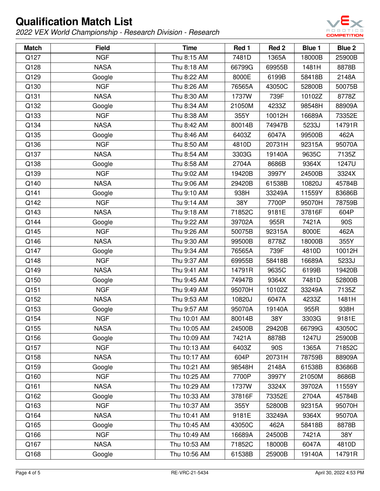

| <b>Match</b> | <b>Field</b> | <b>Time</b>  | Red 1  | Red <sub>2</sub> | <b>Blue 1</b> | Blue 2 |
|--------------|--------------|--------------|--------|------------------|---------------|--------|
| Q127         | <b>NGF</b>   | Thu 8:15 AM  | 7481D  | 1365A            | 18000B        | 25900B |
| Q128         | <b>NASA</b>  | Thu 8:18 AM  | 66799G | 69955B           | 1481H         | 8878B  |
| Q129         | Google       | Thu 8:22 AM  | 8000E  | 6199B            | 58418B        | 2148A  |
| Q130         | <b>NGF</b>   | Thu 8:26 AM  | 76565A | 43050C           | 52800B        | 50075B |
| Q131         | <b>NASA</b>  | Thu 8:30 AM  | 1737W  | 739F             | 10102Z        | 8778Z  |
| Q132         | Google       | Thu 8:34 AM  | 21050M | 4233Z            | 98548H        | 88909A |
| Q133         | <b>NGF</b>   | Thu 8:38 AM  | 355Y   | 10012H           | 16689A        | 73352E |
| Q134         | <b>NASA</b>  | Thu 8:42 AM  | 80014B | 74947B           | 5233J         | 14791R |
| Q135         | Google       | Thu 8:46 AM  | 6403Z  | 6047A            | 99500B        | 462A   |
| Q136         | <b>NGF</b>   | Thu 8:50 AM  | 4810D  | 20731H           | 92315A        | 95070A |
| Q137         | <b>NASA</b>  | Thu 8:54 AM  | 3303G  | 19140A           | 9635C         | 7135Z  |
| Q138         | Google       | Thu 8:58 AM  | 2704A  | 8686B            | 9364X         | 1247U  |
| Q139         | <b>NGF</b>   | Thu 9:02 AM  | 19420B | 3997Y            | 24500B        | 3324X  |
| Q140         | <b>NASA</b>  | Thu 9:06 AM  | 29420B | 61538B           | 10820J        | 45784B |
| Q141         | Google       | Thu 9:10 AM  | 938H   | 33249A           | 11559Y        | 83686B |
| Q142         | <b>NGF</b>   | Thu 9:14 AM  | 38Y    | 7700P            | 95070H        | 78759B |
| Q143         | <b>NASA</b>  | Thu 9:18 AM  | 71852C | 9181E            | 37816F        | 604P   |
| Q144         | Google       | Thu 9:22 AM  | 39702A | 955R             | 7421A         | 90S    |
| Q145         | <b>NGF</b>   | Thu 9:26 AM  | 50075B | 92315A           | 8000E         | 462A   |
| Q146         | <b>NASA</b>  | Thu 9:30 AM  | 99500B | 8778Z            | 18000B        | 355Y   |
| Q147         | Google       | Thu 9:34 AM  | 76565A | 739F             | 4810D         | 10012H |
| Q148         | <b>NGF</b>   | Thu 9:37 AM  | 69955B | 58418B           | 16689A        | 5233J  |
| Q149         | <b>NASA</b>  | Thu 9:41 AM  | 14791R | 9635C            | 6199B         | 19420B |
| Q150         | Google       | Thu 9:45 AM  | 74947B | 9364X            | 7481D         | 52800B |
| Q151         | <b>NGF</b>   | Thu 9:49 AM  | 95070H | 10102Z           | 33249A        | 7135Z  |
| Q152         | <b>NASA</b>  | Thu 9:53 AM  | 10820J | 6047A            | 4233Z         | 1481H  |
| Q153         | Google       | Thu 9:57 AM  | 95070A | 19140A           | 955R          | 938H   |
| Q154         | <b>NGF</b>   | Thu 10:01 AM | 80014B | 38Y              | 3303G         | 9181E  |
| Q155         | <b>NASA</b>  | Thu 10:05 AM | 24500B | 29420B           | 66799G        | 43050C |
| Q156         | Google       | Thu 10:09 AM | 7421A  | 8878B            | 1247U         | 25900B |
| Q157         | <b>NGF</b>   | Thu 10:13 AM | 6403Z  | 90S              | 1365A         | 71852C |
| Q158         | <b>NASA</b>  | Thu 10:17 AM | 604P   | 20731H           | 78759B        | 88909A |
| Q159         | Google       | Thu 10:21 AM | 98548H | 2148A            | 61538B        | 83686B |
| Q160         | <b>NGF</b>   | Thu 10:25 AM | 7700P  | 3997Y            | 21050M        | 8686B  |
| Q161         | <b>NASA</b>  | Thu 10:29 AM | 1737W  | 3324X            | 39702A        | 11559Y |
| Q162         | Google       | Thu 10:33 AM | 37816F | 73352E           | 2704A         | 45784B |
| Q163         | <b>NGF</b>   | Thu 10:37 AM | 355Y   | 52800B           | 92315A        | 95070H |
| Q164         | <b>NASA</b>  | Thu 10:41 AM | 9181E  | 33249A           | 9364X         | 95070A |
| Q165         | Google       | Thu 10:45 AM | 43050C | 462A             | 58418B        | 8878B  |
| Q166         | <b>NGF</b>   | Thu 10:49 AM | 16689A | 24500B           | 7421A         | 38Y    |
| Q167         | <b>NASA</b>  | Thu 10:53 AM | 71852C | 18000B           | 6047A         | 4810D  |
| Q168         | Google       | Thu 10:56 AM | 61538B | 25900B           | 19140A        | 14791R |